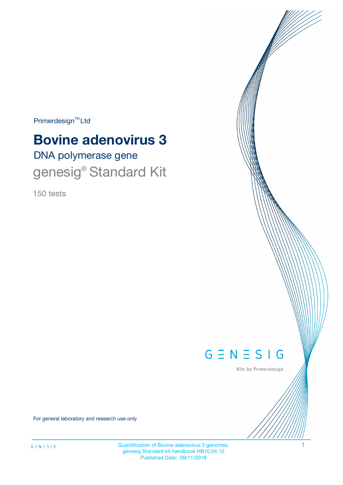$Primerdesign^{TM}$ Ltd

# DNA polymerase gene **Bovine adenovirus 3** genesig<sup>®</sup> Standard Kit

150 tests



Kits by Primerdesign

For general laboratory and research use only

Quantification of Bovine adenovirus 3 genomes. 1 genesig Standard kit handbook HB10.04.10 Published Date: 09/11/2018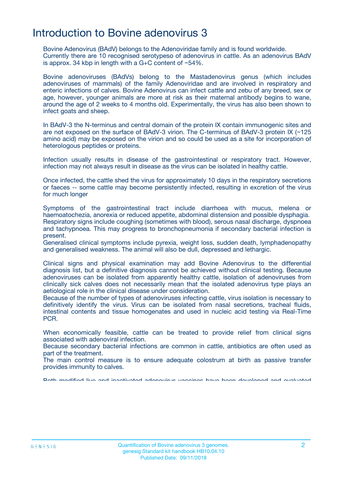### Introduction to Bovine adenovirus 3

Bovine Adenovirus (BAdV) belongs to the Adenoviridae family and is found worldwide. Currently there are 10 recognised serotypeso of adenovirus in cattle. As an adenovirus BAdV is approx. 34 kbp in length with a  $G+C$  content of  $~54\%$ .

Bovine adenoviruses (BAdVs) belong to the Mastadenovirus genus (which includes adenoviruses of mammals) of the family Adenoviridae and are involved in respiratory and enteric infections of calves. Bovine Adenovirus can infect cattle and zebu of any breed, sex or age, however, younger animals are more at risk as their maternal antibody begins to wane, around the age of 2 weeks to 4 months old. Experimentally, the virus has also been shown to infect goats and sheep.

In BAdV-3 the N-terminus and central domain of the protein IX contain immunogenic sites and are not exposed on the surface of BAdV-3 virion. The C-terminus of BAdV-3 protein IX (~125 amino acid) may be exposed on the virion and so could be used as a site for incorporation of heterologous peptides or proteins.

Infection usually results in disease of the gastrointestinal or respiratory tract. However, infection may not always result in disease as the virus can be isolated in healthy cattle.

Once infected, the cattle shed the virus for approximately 10 days in the respiratory secretions or faeces -- some cattle may become persistently infected, resulting in excretion of the virus for much longer

Symptoms of the gastrointestinal tract include diarrhoea with mucus, melena or haemoatochezia, anorexia or reduced appetite, abdominal distension and possible dysphagia. Respiratory signs include coughing (sometimes with blood), serous nasal discharge, dyspnoea and tachypnoea. This may progress to bronchopneumonia if secondary bacterial infection is present.

Generalised clinical symptoms include pyrexia, weight loss, sudden death, lymphadenopathy and generalised weakness. The animal will also be dull, depressed and lethargic.

Clinical signs and physical examination may add Bovine Adenovirus to the differential diagnosis list, but a definitive diagnosis cannot be achieved without clinical testing. Because adenoviruses can be isolated from apparently healthy cattle, isolation of adenoviruses from clinically sick calves does not necessarily mean that the isolated adenovirus type plays an aetiological role in the clinical disease under consideration.

Because of the number of types of adenoviruses infecting cattle, virus isolation is necessary to definitively identify the virus. Virus can be isolated from nasal secretions, tracheal fluids, intestinal contents and tissue homogenates and used in nucleic acid testing via Real-Time PCR.

When economically feasible, cattle can be treated to provide relief from clinical signs associated with adenoviral infection.

Because secondary bacterial infections are common in cattle, antibiotics are often used as part of the treatment.

The main control measure is to ensure adequate colostrum at birth as passive transfer provides immunity to calves.

Both modified live and inactivated adenovirus vaccines have been developed and evaluated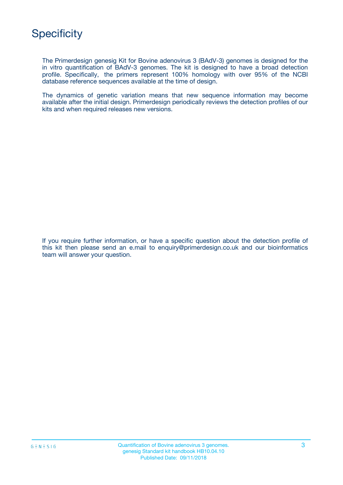

The Primerdesign genesig Kit for Bovine adenovirus 3 (BAdV-3) genomes is designed for the in vitro quantification of BAdV-3 genomes. The kit is designed to have a broad detection profile. Specifically, the primers represent 100% homology with over 95% of the NCBI database reference sequences available at the time of design.

The dynamics of genetic variation means that new sequence information may become available after the initial design. Primerdesign periodically reviews the detection profiles of our kits and when required releases new versions.

If you require further information, or have a specific question about the detection profile of this kit then please send an e.mail to enquiry@primerdesign.co.uk and our bioinformatics team will answer your question.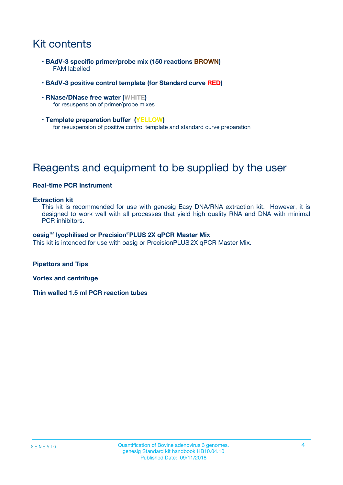# Kit contents

- **BAdV-3 specific primer/probe mix (150 reactions BROWN)** FAM labelled
- **BAdV-3 positive control template (for Standard curve RED)**
- **RNase/DNase free water (WHITE)** for resuspension of primer/probe mixes
- **Template preparation buffer (YELLOW)** for resuspension of positive control template and standard curve preparation

## Reagents and equipment to be supplied by the user

#### **Real-time PCR Instrument**

#### **Extraction kit**

This kit is recommended for use with genesig Easy DNA/RNA extraction kit. However, it is designed to work well with all processes that yield high quality RNA and DNA with minimal PCR inhibitors.

#### **oasig**TM **lyophilised or Precision**®**PLUS 2X qPCR Master Mix**

This kit is intended for use with oasig or PrecisionPLUS2X qPCR Master Mix.

**Pipettors and Tips**

**Vortex and centrifuge**

**Thin walled 1.5 ml PCR reaction tubes**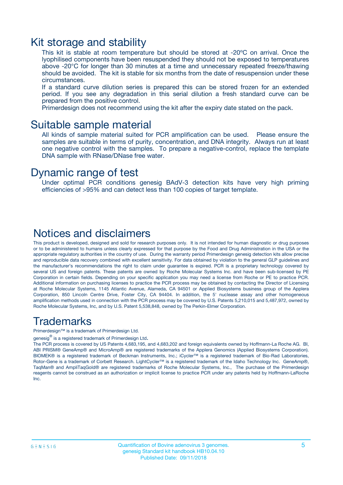### Kit storage and stability

This kit is stable at room temperature but should be stored at -20ºC on arrival. Once the lyophilised components have been resuspended they should not be exposed to temperatures above -20°C for longer than 30 minutes at a time and unnecessary repeated freeze/thawing should be avoided. The kit is stable for six months from the date of resuspension under these circumstances.

If a standard curve dilution series is prepared this can be stored frozen for an extended period. If you see any degradation in this serial dilution a fresh standard curve can be prepared from the positive control.

Primerdesign does not recommend using the kit after the expiry date stated on the pack.

### Suitable sample material

All kinds of sample material suited for PCR amplification can be used. Please ensure the samples are suitable in terms of purity, concentration, and DNA integrity. Always run at least one negative control with the samples. To prepare a negative-control, replace the template DNA sample with RNase/DNase free water.

### Dynamic range of test

Under optimal PCR conditions genesig BAdV-3 detection kits have very high priming efficiencies of >95% and can detect less than 100 copies of target template.

### Notices and disclaimers

This product is developed, designed and sold for research purposes only. It is not intended for human diagnostic or drug purposes or to be administered to humans unless clearly expressed for that purpose by the Food and Drug Administration in the USA or the appropriate regulatory authorities in the country of use. During the warranty period Primerdesign genesig detection kits allow precise and reproducible data recovery combined with excellent sensitivity. For data obtained by violation to the general GLP guidelines and the manufacturer's recommendations the right to claim under guarantee is expired. PCR is a proprietary technology covered by several US and foreign patents. These patents are owned by Roche Molecular Systems Inc. and have been sub-licensed by PE Corporation in certain fields. Depending on your specific application you may need a license from Roche or PE to practice PCR. Additional information on purchasing licenses to practice the PCR process may be obtained by contacting the Director of Licensing at Roche Molecular Systems, 1145 Atlantic Avenue, Alameda, CA 94501 or Applied Biosystems business group of the Applera Corporation, 850 Lincoln Centre Drive, Foster City, CA 94404. In addition, the 5' nuclease assay and other homogeneous amplification methods used in connection with the PCR process may be covered by U.S. Patents 5,210,015 and 5,487,972, owned by Roche Molecular Systems, Inc, and by U.S. Patent 5,538,848, owned by The Perkin-Elmer Corporation.

### Trademarks

Primerdesign™ is a trademark of Primerdesign Ltd.

genesig $^\circledR$  is a registered trademark of Primerdesign Ltd.

The PCR process is covered by US Patents 4,683,195, and 4,683,202 and foreign equivalents owned by Hoffmann-La Roche AG. BI, ABI PRISM® GeneAmp® and MicroAmp® are registered trademarks of the Applera Genomics (Applied Biosystems Corporation). BIOMEK® is a registered trademark of Beckman Instruments, Inc.; iCycler™ is a registered trademark of Bio-Rad Laboratories, Rotor-Gene is a trademark of Corbett Research. LightCycler™ is a registered trademark of the Idaho Technology Inc. GeneAmp®, TaqMan® and AmpliTaqGold® are registered trademarks of Roche Molecular Systems, Inc., The purchase of the Primerdesign reagents cannot be construed as an authorization or implicit license to practice PCR under any patents held by Hoffmann-LaRoche Inc.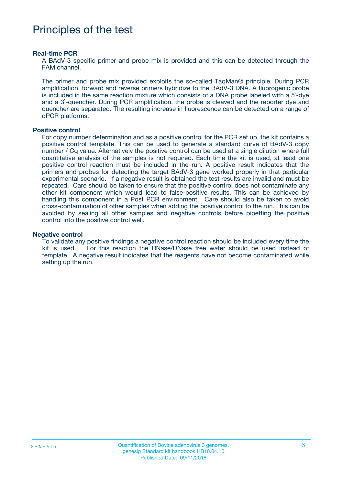### Principles of the test

#### **Real-time PCR**

A BAdV-3 specific primer and probe mix is provided and this can be detected through the FAM channel.

The primer and probe mix provided exploits the so-called TaqMan® principle. During PCR amplification, forward and reverse primers hybridize to the BAdV-3 DNA. A fluorogenic probe is included in the same reaction mixture which consists of a DNA probe labeled with a 5`-dye and a 3`-quencher. During PCR amplification, the probe is cleaved and the reporter dye and quencher are separated. The resulting increase in fluorescence can be detected on a range of qPCR platforms.

#### **Positive control**

For copy number determination and as a positive control for the PCR set up, the kit contains a positive control template. This can be used to generate a standard curve of BAdV-3 copy number / Cq value. Alternatively the positive control can be used at a single dilution where full quantitative analysis of the samples is not required. Each time the kit is used, at least one positive control reaction must be included in the run. A positive result indicates that the primers and probes for detecting the target BAdV-3 gene worked properly in that particular experimental scenario. If a negative result is obtained the test results are invalid and must be repeated. Care should be taken to ensure that the positive control does not contaminate any other kit component which would lead to false-positive results. This can be achieved by handling this component in a Post PCR environment. Care should also be taken to avoid cross-contamination of other samples when adding the positive control to the run. This can be avoided by sealing all other samples and negative controls before pipetting the positive control into the positive control well.

#### **Negative control**

To validate any positive findings a negative control reaction should be included every time the kit is used. For this reaction the RNase/DNase free water should be used instead of template. A negative result indicates that the reagents have not become contaminated while setting up the run.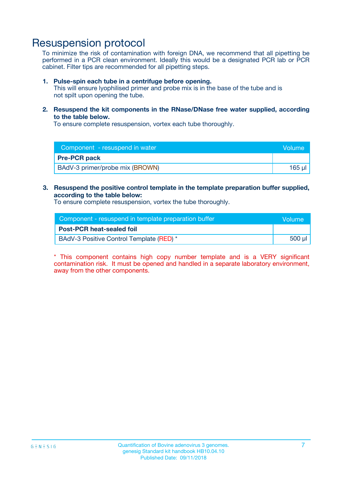### Resuspension protocol

To minimize the risk of contamination with foreign DNA, we recommend that all pipetting be performed in a PCR clean environment. Ideally this would be a designated PCR lab or PCR cabinet. Filter tips are recommended for all pipetting steps.

#### **1. Pulse-spin each tube in a centrifuge before opening.**

This will ensure lyophilised primer and probe mix is in the base of the tube and is not spilt upon opening the tube.

**2. Resuspend the kit components in the RNase/DNase free water supplied, according to the table below.**

To ensure complete resuspension, vortex each tube thoroughly.

| Component - resuspend in water  | Volume |
|---------------------------------|--------|
| <b>Pre-PCR pack</b>             |        |
| BAdV-3 primer/probe mix (BROWN) | 165 ul |

#### **3. Resuspend the positive control template in the template preparation buffer supplied, according to the table below:**

To ensure complete resuspension, vortex the tube thoroughly.

| Component - resuspend in template preparation buffer |        |  |
|------------------------------------------------------|--------|--|
| <b>Post-PCR heat-sealed foil</b>                     |        |  |
| BAdV-3 Positive Control Template (RED) *             | 500 µl |  |

\* This component contains high copy number template and is a VERY significant contamination risk. It must be opened and handled in a separate laboratory environment, away from the other components.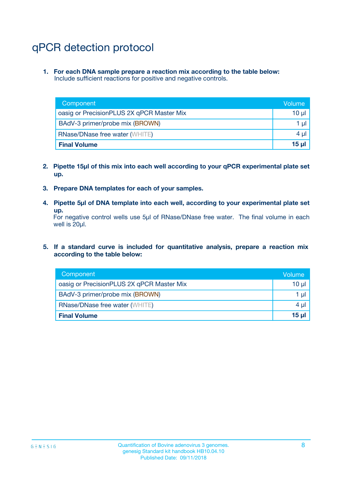# qPCR detection protocol

**1. For each DNA sample prepare a reaction mix according to the table below:** Include sufficient reactions for positive and negative controls.

| Component                                 | Volume           |
|-------------------------------------------|------------------|
| oasig or PrecisionPLUS 2X qPCR Master Mix | 10 $\mu$         |
| BAdV-3 primer/probe mix (BROWN)           | 1 $\mu$          |
| <b>RNase/DNase free water (WHITE)</b>     | $4 \mu$          |
| <b>Final Volume</b>                       | 15 <sub>ul</sub> |

- **2. Pipette 15µl of this mix into each well according to your qPCR experimental plate set up.**
- **3. Prepare DNA templates for each of your samples.**
- **4. Pipette 5µl of DNA template into each well, according to your experimental plate set up.**

For negative control wells use 5µl of RNase/DNase free water. The final volume in each well is 20µl.

**5. If a standard curve is included for quantitative analysis, prepare a reaction mix according to the table below:**

| Component                                 | Volume          |
|-------------------------------------------|-----------------|
| oasig or PrecisionPLUS 2X qPCR Master Mix | 10 µl           |
| BAdV-3 primer/probe mix (BROWN)           | 1 µI            |
| <b>RNase/DNase free water (WHITE)</b>     | $4 \mu$         |
| <b>Final Volume</b>                       | 15 <sub>µ</sub> |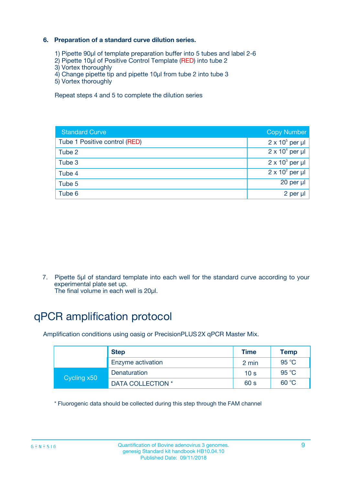#### **6. Preparation of a standard curve dilution series.**

- 1) Pipette 90µl of template preparation buffer into 5 tubes and label 2-6
- 2) Pipette 10µl of Positive Control Template (RED) into tube 2
- 3) Vortex thoroughly
- 4) Change pipette tip and pipette 10µl from tube 2 into tube 3
- 5) Vortex thoroughly

Repeat steps 4 and 5 to complete the dilution series

| <b>Standard Curve</b>         | <b>Copy Number</b>     |
|-------------------------------|------------------------|
| Tube 1 Positive control (RED) | $2 \times 10^5$ per µl |
| Tube 2                        | $2 \times 10^4$ per µl |
| Tube 3                        | $2 \times 10^3$ per µl |
| Tube 4                        | $2 \times 10^2$ per µl |
| Tube 5                        | 20 per µl              |
| Tube 6                        | $2$ per $\mu$          |

7. Pipette 5µl of standard template into each well for the standard curve according to your experimental plate set up.

The final volume in each well is 20µl.

# qPCR amplification protocol

Amplification conditions using oasig or PrecisionPLUS2X qPCR Master Mix.

|             | <b>Step</b>       | <b>Time</b>     | Temp           |
|-------------|-------------------|-----------------|----------------|
|             | Enzyme activation | 2 min           | $95^{\circ}$ C |
| Cycling x50 | Denaturation      | 10 <sub>s</sub> | 95 $°C$        |
|             | DATA COLLECTION * | 60 s            | 60 °C          |

\* Fluorogenic data should be collected during this step through the FAM channel